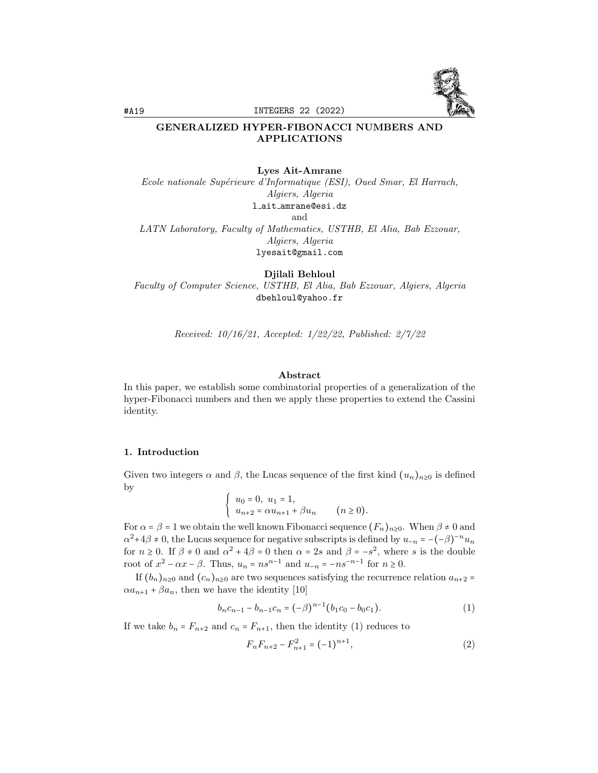

#A19 INTEGERS 22 (2022)

## GENERALIZED HYPER-FIBONACCI NUMBERS AND APPLICATIONS

#### Lyes Ait-Amrane

Ecole nationale Supérieure d'Informatique (ESI), Oued Smar, El Harrach, Algiers, Algeria l ait amrane@esi.dz and LATN Laboratory, Faculty of Mathematics, USTHB, El Alia, Bab Ezzouar,

Algiers, Algeria

lyesait@gmail.com

Djilali Behloul

Faculty of Computer Science, USTHB, El Alia, Bab Ezzouar, Algiers, Algeria dbehloul@yahoo.fr

Received: 10/16/21, Accepted: 1/22/22, Published: 2/7/22

#### Abstract

In this paper, we establish some combinatorial properties of a generalization of the hyper-Fibonacci numbers and then we apply these properties to extend the Cassini identity.

#### 1. Introduction

Given two integers  $\alpha$  and  $\beta$ , the Lucas sequence of the first kind  $(u_n)_{n\geq 0}$  is defined by

$$
\begin{cases} u_0 = 0, u_1 = 1, \\ u_{n+2} = \alpha u_{n+1} + \beta u_n \qquad (n \ge 0). \end{cases}
$$

For  $\alpha = \beta = 1$  we obtain the well known Fibonacci sequence  $(F_n)_{n \geq 0}$ . When  $\beta \neq 0$  and  $\alpha^2 + 4\beta \neq 0$ , the Lucas sequence for negative subscripts is defined by  $u_{-n} = -(-\beta)^{-n} u_n$ for  $n \ge 0$ . If  $\beta \ne 0$  and  $\alpha^2 + 4\beta = 0$  then  $\alpha = 2s$  and  $\beta = -s^2$ , where s is the double root of  $x^2 - \alpha x - \beta$ . Thus,  $u_n = n s^{n-1}$  and  $u_{-n} = -n s^{-n-1}$  for  $n \ge 0$ .

If  $(b_n)_{n\geq 0}$  and  $(c_n)_{n\geq 0}$  are two sequences satisfying the recurrence relation  $a_{n+2}$  $\alpha a_{n+1} + \beta a_n$ , then we have the identity [10]

$$
b_n c_{n-1} - b_{n-1} c_n = (-\beta)^{n-1} (b_1 c_0 - b_0 c_1).
$$
 (1)

If we take  $b_n = F_{n+2}$  and  $c_n = F_{n+1}$ , then the identity (1) reduces to

$$
F_n F_{n+2} - F_{n+1}^2 = (-1)^{n+1},\tag{2}
$$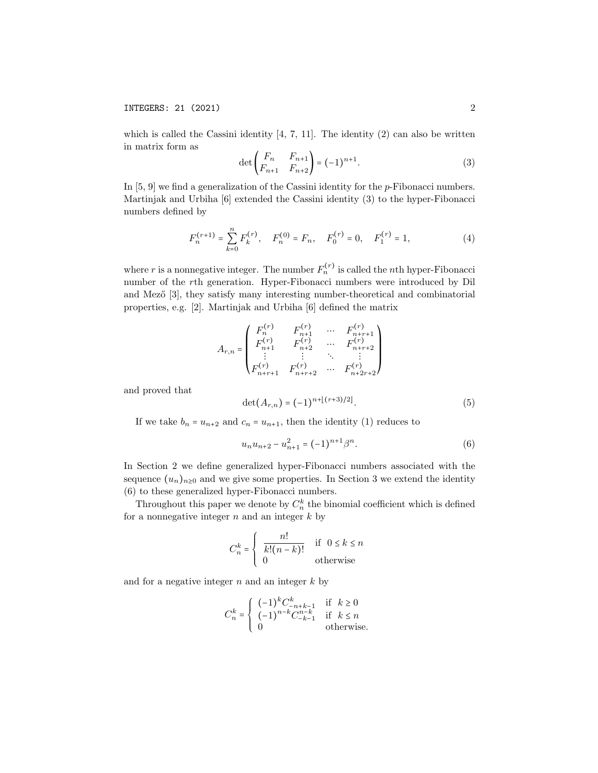## INTEGERS: 21 (2021) 2

which is called the Cassini identity  $[4, 7, 11]$ . The identity  $(2)$  can also be written in matrix form as

$$
\det\begin{pmatrix} F_n & F_{n+1} \\ F_{n+1} & F_{n+2} \end{pmatrix} = (-1)^{n+1}.
$$
 (3)

In  $[5, 9]$  we find a generalization of the Cassini identity for the *p*-Fibonacci numbers. Martinjak and Urbiha [6] extended the Cassini identity (3) to the hyper-Fibonacci numbers defined by

$$
F_n^{(r+1)} = \sum_{k=0}^n F_k^{(r)}, \quad F_n^{(0)} = F_n, \quad F_0^{(r)} = 0, \quad F_1^{(r)} = 1,
$$
 (4)

where r is a nonnegative integer. The number  $F_n^{(r)}$  is called the nth hyper-Fibonacci number of the rth generation. Hyper-Fibonacci numbers were introduced by Dil and Mező [3], they satisfy many interesting number-theoretical and combinatorial properties, e.g. [2]. Martinjak and Urbiha [6] defined the matrix

$$
A_{r,n} = \begin{pmatrix} F_n^{(r)} & F_{n+1}^{(r)} & \cdots & F_{n+r+1}^{(r)} \\ F_{n+1}^{(r)} & F_{n+2}^{(r)} & \cdots & F_{n+r+2}^{(r)} \\ \vdots & \vdots & \ddots & \vdots \\ F_{n+r+1}^{(r)} & F_{n+r+2}^{(r)} & \cdots & F_{n+2r+2}^{(r)} \end{pmatrix}
$$

and proved that

$$
\det(A_{r,n}) = (-1)^{n + \lfloor (r+3)/2 \rfloor}.
$$
 (5)

If we take  $b_n = u_{n+2}$  and  $c_n = u_{n+1}$ , then the identity (1) reduces to

$$
u_n u_{n+2} - u_{n+1}^2 = (-1)^{n+1} \beta^n.
$$
 (6)

In Section 2 we define generalized hyper-Fibonacci numbers associated with the sequence  $(u_n)_{n\geq 0}$  and we give some properties. In Section 3 we extend the identity (6) to these generalized hyper-Fibonacci numbers.

Throughout this paper we denote by  $C_n^k$  the binomial coefficient which is defined for a nonnegative integer  $n$  and an integer  $k$  by

$$
C_n^k = \begin{cases} \frac{n!}{k!(n-k)!} & \text{if } 0 \le k \le n\\ 0 & \text{otherwise} \end{cases}
$$

and for a negative integer  $n$  and an integer  $k$  by

$$
C_n^k = \begin{cases} (-1)^k C_{-n+k-1}^k & \text{if } k \ge 0\\ (-1)^{n-k} C_{-k-1}^{n-k} & \text{if } k \le n\\ 0 & \text{otherwise.} \end{cases}
$$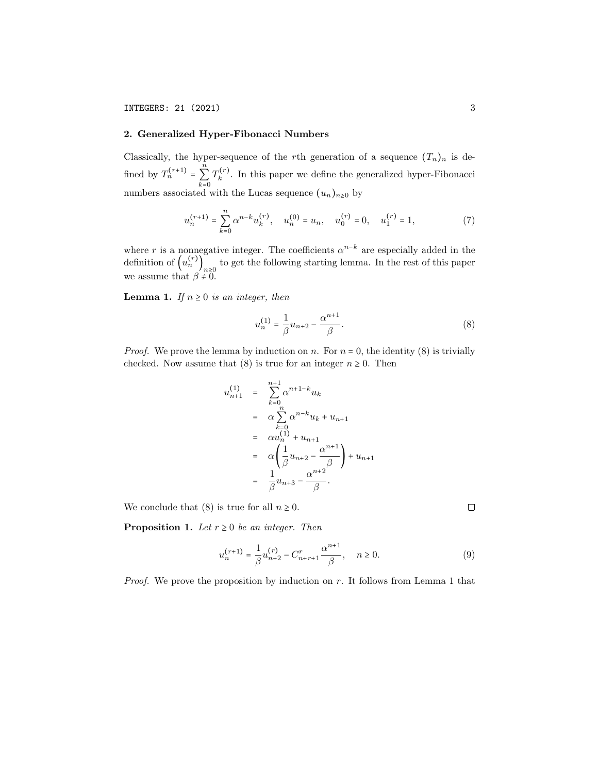#### 2. Generalized Hyper-Fibonacci Numbers

Classically, the hyper-sequence of the rth generation of a sequence  $(T_n)_n$  is defined by  $T_n^{(r+1)}$  = n  $\sum_{k=0}$  $T_k^{(r)}$  $\kappa^{(r)}$ . In this paper we define the generalized hyper-Fibonacci numbers associated with the Lucas sequence  $(u_n)_{n\geq 0}$  by

$$
u_n^{(r+1)} = \sum_{k=0}^n \alpha^{n-k} u_k^{(r)}, \quad u_n^{(0)} = u_n, \quad u_0^{(r)} = 0, \quad u_1^{(r)} = 1,\tag{7}
$$

where r is a nonnegative integer. The coefficients  $\alpha^{n-k}$  are especially added in the definition of  $(u_n^{(r)})_{n\geq 0}$  to get the following starting lemma. In the rest of this paper we assume that  $\beta \neq 0$ .

**Lemma 1.** If  $n \geq 0$  is an integer, then

$$
u_n^{(1)} = \frac{1}{\beta} u_{n+2} - \frac{\alpha^{n+1}}{\beta}.
$$
 (8)

*Proof.* We prove the lemma by induction on n. For  $n = 0$ , the identity (8) is trivially checked. Now assume that (8) is true for an integer  $n \geq 0$ . Then

$$
u_{n+1}^{(1)} = \sum_{k=0}^{n+1} \alpha^{n+1-k} u_k
$$
  
=  $\alpha \sum_{k=0}^{n} \alpha^{n-k} u_k + u_{n+1}$   
=  $\alpha u_n^{(1)} + u_{n+1}$   
=  $\alpha \left( \frac{1}{\beta} u_{n+2} - \frac{\alpha^{n+1}}{\beta} \right) + u_{n+1}$   
=  $\frac{1}{\beta} u_{n+3} - \frac{\alpha^{n+2}}{\beta}.$ 

We conclude that (8) is true for all  $n \geq 0$ .

**Proposition 1.** Let  $r \geq 0$  be an integer. Then

$$
u_n^{(r+1)} = \frac{1}{\beta} u_{n+2}^{(r)} - C_{n+r+1}^r \frac{\alpha^{n+1}}{\beta}, \quad n \ge 0.
$$
 (9)

*Proof.* We prove the proposition by induction on r. It follows from Lemma 1 that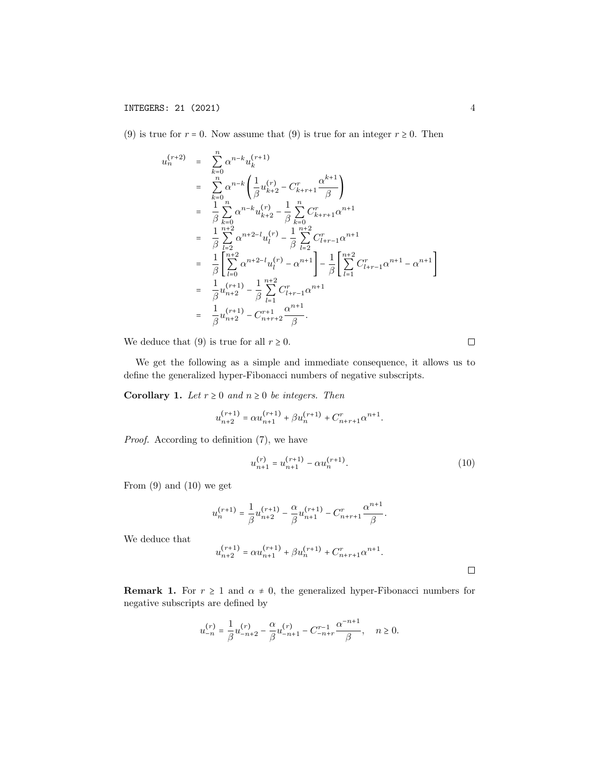(9) is true for  $r = 0$ . Now assume that (9) is true for an integer  $r \ge 0$ . Then

$$
u_n^{(r+2)} = \sum_{k=0}^n \alpha^{n-k} u_k^{(r+1)}
$$
  
\n
$$
= \sum_{k=0}^n \alpha^{n-k} \left( \frac{1}{\beta} u_{k+2}^{(r)} - C_{k+r+1}^r \frac{\alpha^{k+1}}{\beta} \right)
$$
  
\n
$$
= \frac{1}{\beta} \sum_{k=0}^n \alpha^{n-k} u_{k+2}^{(r)} - \frac{1}{\beta} \sum_{k=0}^n C_{k+r+1}^r \alpha^{n+1}
$$
  
\n
$$
= \frac{1}{\beta} \sum_{l=2}^{n+2} \alpha^{n+2-l} u_l^{(r)} - \frac{1}{\beta} \sum_{l=2}^{n+2} C_{l+r-1}^r \alpha^{n+1}
$$
  
\n
$$
= \frac{1}{\beta} \left[ \sum_{l=0}^{n+2} \alpha^{n+2-l} u_l^{(r)} - \alpha^{n+1} \right] - \frac{1}{\beta} \left[ \sum_{l=1}^{n+2} C_{l+r-1}^r \alpha^{n+1} - \alpha^{n+1} \right]
$$
  
\n
$$
= \frac{1}{\beta} u_{n+2}^{(r+1)} - \frac{1}{\beta} \sum_{l=1}^{n+2} C_{l+r-1}^r \alpha^{n+1}
$$
  
\n
$$
= \frac{1}{\beta} u_{n+2}^{(r+1)} - C_{n+r+2}^{r+1} \frac{\alpha^{n+1}}{\beta}.
$$

We deduce that (9) is true for all  $r \geq 0$ .

We get the following as a simple and immediate consequence, it allows us to define the generalized hyper-Fibonacci numbers of negative subscripts.

Corollary 1. Let  $r \geq 0$  and  $n \geq 0$  be integers. Then

$$
u_{n+2}^{(r+1)} = \alpha u_{n+1}^{(r+1)} + \beta u_n^{(r+1)} + C_{n+r+1}^r \alpha^{n+1}.
$$

Proof. According to definition  $(7)$ , we have

$$
u_{n+1}^{(r)} = u_{n+1}^{(r+1)} - \alpha u_n^{(r+1)}.
$$
\n(10)

From  $(9)$  and  $(10)$  we get

$$
u_n^{(r+1)} = \frac{1}{\beta} u_{n+2}^{(r+1)} - \frac{\alpha}{\beta} u_{n+1}^{(r+1)} - C_{n+r+1}^r \frac{\alpha^{n+1}}{\beta}.
$$

We deduce that

$$
u_{n+2}^{(r+1)} = \alpha u_{n+1}^{(r+1)} + \beta u_n^{(r+1)} + C_{n+r+1}^r \alpha^{n+1}.
$$

**Remark 1.** For  $r \geq 1$  and  $\alpha \neq 0$ , the generalized hyper-Fibonacci numbers for negative subscripts are defined by

$$
u_{-n}^{(r)} = \frac{1}{\beta} u_{-n+2}^{(r)} - \frac{\alpha}{\beta} u_{-n+1}^{(r)} - C_{-n+r}^{r-1} \frac{\alpha^{-n+1}}{\beta}, \quad n \ge 0.
$$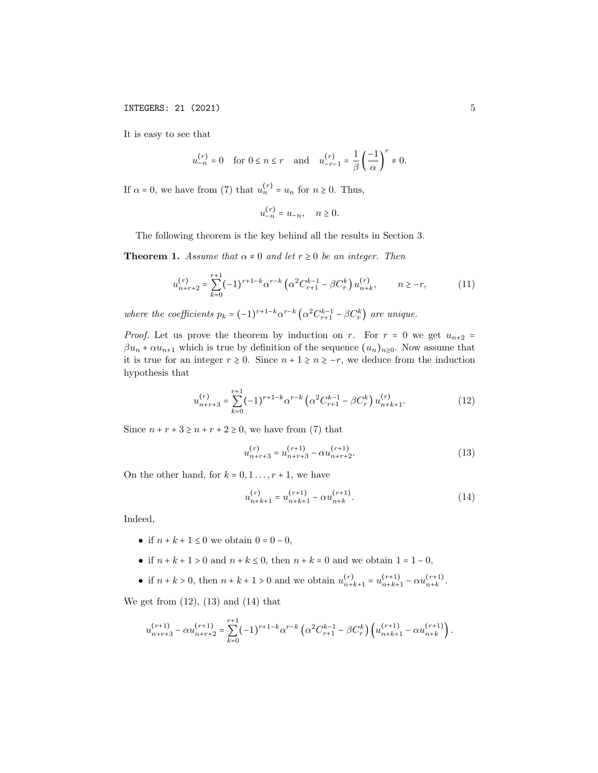**INTEGERS: 21 (2021)** 5

It is easy to see that

$$
u_{-n}^{(r)}=0\quad\text{for }0\leq n\leq r\quad\text{and}\quad u_{-r-1}^{(r)}=\frac{1}{\beta}\left(\frac{-1}{\alpha}\right)^r\neq 0.
$$

If  $\alpha = 0$ , we have from (7) that  $u_n^{(r)} = u_n$  for  $n \ge 0$ . Thus,

$$
u_{-n}^{(r)} = u_{-n}, \quad n \ge 0.
$$

The following theorem is the key behind all the results in Section 3.

**Theorem 1.** Assume that  $\alpha \neq 0$  and let  $r \geq 0$  be an integer. Then

$$
u_{n+r+2}^{(r)} = \sum_{k=0}^{r+1} (-1)^{r+1-k} \alpha^{r-k} \left( \alpha^2 C_{r+1}^{k-1} - \beta C_r^k \right) u_{n+k}^{(r)}, \qquad n \ge -r,
$$
 (11)

where the coefficients  $p_k = (-1)^{r+1-k} \alpha^{r-k} \left( \alpha^2 C_{r+1}^{k-1} - \beta C_r^k \right)$  are unique.

*Proof.* Let us prove the theorem by induction on r. For  $r = 0$  we get  $u_{n+2} =$  $\beta u_n + \alpha u_{n+1}$  which is true by definition of the sequence  $(u_n)_{n\geq 0}$ . Now assume that it is true for an integer  $r \geq 0$ . Since  $n + 1 \geq n \geq -r$ , we deduce from the induction hypothesis that

$$
u_{n+r+3}^{(r)} = \sum_{k=0}^{r+1} (-1)^{r+1-k} \alpha^{r-k} \left( \alpha^2 C_{r+1}^{k-1} - \beta C_r^k \right) u_{n+k+1}^{(r)}.
$$
 (12)

Since  $n + r + 3 \ge n + r + 2 \ge 0$ , we have from (7) that

$$
u_{n+r+3}^{(r)} = u_{n+r+3}^{(r+1)} - \alpha u_{n+r+2}^{(r+1)}.
$$
 (13)

On the other hand, for  $k = 0, 1, \ldots, r + 1$ , we have

$$
u_{n+k+1}^{(r)} = u_{n+k+1}^{(r+1)} - \alpha u_{n+k}^{(r+1)}.
$$
\n(14)

Indeed,

- if  $n + k + 1 \le 0$  we obtain  $0 = 0 0$ ,
- if  $n + k + 1 > 0$  and  $n + k \le 0$ , then  $n + k = 0$  and we obtain  $1 = 1 0$ ,
- if  $n + k > 0$ , then  $n + k + 1 > 0$  and we obtain  $u_{n+i}^{(r)}$  $\binom{r}{n+k+1} = u_{n+k+1}^{(r+1)}$  $\frac{(r+1)}{n+k+1} - \alpha u_{n+k}^{(r+1)}$  $\frac{(r+1)}{n+k}$ .

We get from  $(12)$ ,  $(13)$  and  $(14)$  that

$$
u_{n+r+3}^{(r+1)} - \alpha u_{n+r+2}^{(r+1)} = \sum_{k=0}^{r+1} (-1)^{r+1-k} \alpha^{r-k} \left( \alpha^2 C_{r+1}^{k-1} - \beta C_r^k \right) \left( u_{n+k+1}^{(r+1)} - \alpha u_{n+k}^{(r+1)} \right).
$$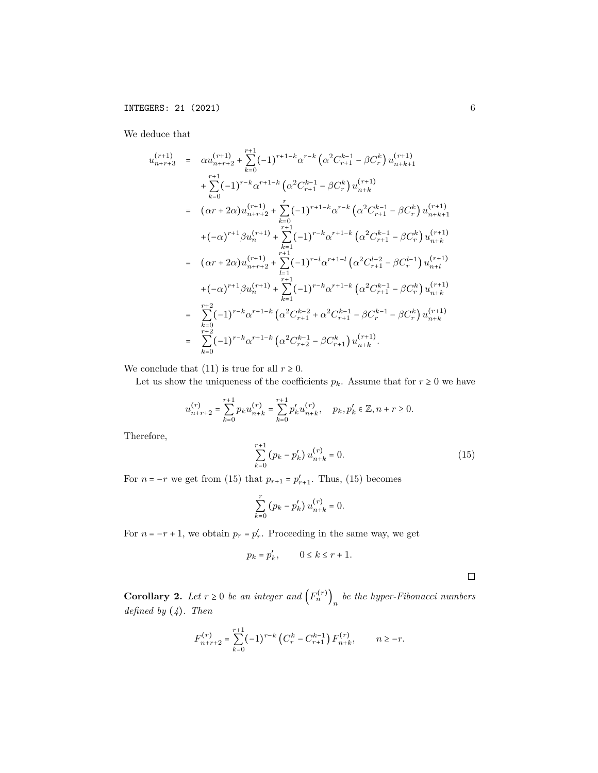We deduce that

$$
u_{n+r+3}^{(r+1)} = \alpha u_{n+r+2}^{(r+1)} + \sum_{k=0}^{r+1} (-1)^{r+1-k} \alpha^{r-k} \left( \alpha^2 C_{r+1}^{k-1} - \beta C_r^k \right) u_{n+k+1}^{(r+1)} + \sum_{k=0}^{r+1} (-1)^{r-k} \alpha^{r+1-k} \left( \alpha^2 C_{r+1}^{k-1} - \beta C_r^k \right) u_{n+k}^{(r+1)} = (\alpha r + 2\alpha) u_{n+r+2}^{(r+1)} + \sum_{k=0}^{r} (-1)^{r+1-k} \alpha^{r-k} \left( \alpha^2 C_{r+1}^{k-1} - \beta C_r^k \right) u_{n+k+1}^{(r+1)} + (-\alpha)^{r+1} \beta u_n^{(r+1)} + \sum_{k=1}^{r+1} (-1)^{r-k} \alpha^{r+1-k} \left( \alpha^2 C_{r+1}^{k-1} - \beta C_r^k \right) u_{n+k}^{(r+1)} = (\alpha r + 2\alpha) u_{n+r+2}^{(r+1)} + \sum_{l=1}^{r+1} (-1)^{r-l} \alpha^{r+1-l} \left( \alpha^2 C_{r+1}^{l-2} - \beta C_r^{l-1} \right) u_{n+l}^{(r+1)} + (-\alpha)^{r+1} \beta u_n^{(r+1)} + \sum_{k=1}^{r+1} (-1)^{r-k} \alpha^{r+1-k} \left( \alpha^2 C_{r+1}^{k-1} - \beta C_r^k \right) u_{n+k}^{(r+1)} = \sum_{k=0}^{r+2} (-1)^{r-k} \alpha^{r+1-k} \left( \alpha^2 C_{r+2}^{k-2} + \alpha^2 C_{r+1}^{k-1} - \beta C_r^{k-1} - \beta C_r^k \right) u_{n+k}^{(r+1)} = \sum_{k=0}^{r+2} (-1)^{r-k} \alpha^{r+1-k} \left( \alpha^2 C_{r+2}^{k-2} - \beta C_{r+1}^k \right) u_{n+k}^{(r+1)}.
$$

We conclude that (11) is true for all  $r \geq 0$ .

Let us show the uniqueness of the coefficients  $p_k$ . Assume that for  $r \ge 0$  we have

$$
u_{n+r+2}^{(r)} = \sum_{k=0}^{r+1} p_k u_{n+k}^{(r)} = \sum_{k=0}^{r+1} p_k' u_{n+k}^{(r)}, \quad p_k, p_k' \in \mathbb{Z}, n+r \geq 0.
$$

Therefore,

$$
\sum_{k=0}^{r+1} (p_k - p'_k) u_{n+k}^{(r)} = 0.
$$
 (15)

For  $n = -r$  we get from (15) that  $p_{r+1} = p'_{r+1}$ . Thus, (15) becomes

$$
\sum_{k=0}^r (p_k - p'_k) u_{n+k}^{(r)} = 0.
$$

For  $n = -r + 1$ , we obtain  $p_r = p'_r$ . Proceeding in the same way, we get

$$
p_k = p'_k, \qquad 0 \le k \le r+1.
$$

 $\Box$ 

**Corollary 2.** Let  $r \geq 0$  be an integer and  $(F_n^{(r)})_n$  be the hyper-Fibonacci numbers defined by  $(4)$ . Then

$$
F_{n+r+2}^{(r)} = \sum_{k=0}^{r+1} (-1)^{r-k} \left( C_r^k - C_{r+1}^{k-1} \right) F_{n+k}^{(r)}, \qquad n \ge -r.
$$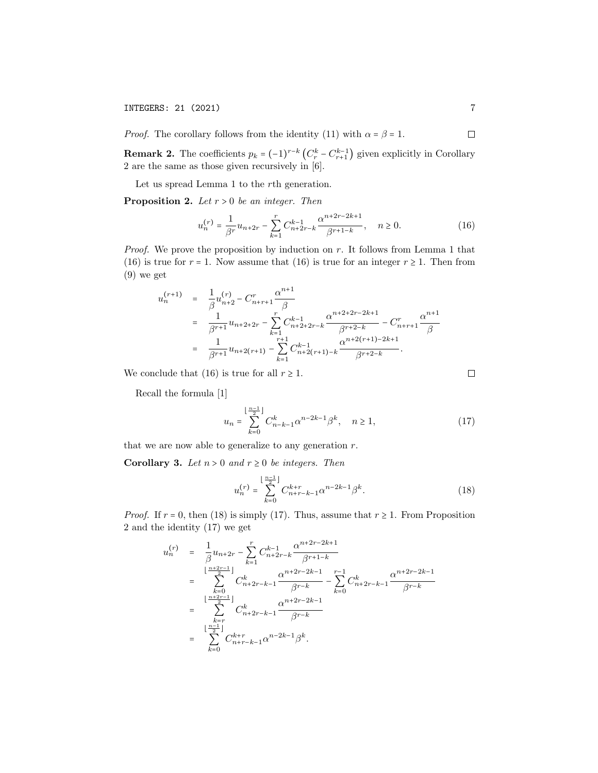**INTEGERS: 21 (2021)** 7

*Proof.* The corollary follows from the identity (11) with  $\alpha = \beta = 1$ .

**Remark 2.** The coefficients  $p_k = (-1)^{r-k} \left( C_r^k - C_{r+1}^{k-1} \right)$  given explicitly in Corollary 2 are the same as those given recursively in [6].

Let us spread Lemma 1 to the rth generation.

**Proposition 2.** Let  $r > 0$  be an integer. Then

$$
u_n^{(r)} = \frac{1}{\beta^r} u_{n+2r} - \sum_{k=1}^r C_{n+2r-k}^{k-1} \frac{\alpha^{n+2r-2k+1}}{\beta^{r+1-k}}, \quad n \ge 0.
$$
 (16)

*Proof.* We prove the proposition by induction on r. It follows from Lemma 1 that (16) is true for  $r = 1$ . Now assume that (16) is true for an integer  $r \ge 1$ . Then from (9) we get

$$
u_n^{(r+1)} = \frac{1}{\beta} u_{n+2}^{(r)} - C_{n+r+1}^r \frac{\alpha^{n+1}}{\beta}
$$
  
= 
$$
\frac{1}{\beta^{r+1}} u_{n+2+2r} - \sum_{k=1}^r C_{n+2+2r-k}^{k-1} \frac{\alpha^{n+2+2r-2k+1}}{\beta^{r+2-k}} - C_{n+r+1}^r \frac{\alpha^{n+1}}{\beta}
$$
  
= 
$$
\frac{1}{\beta^{r+1}} u_{n+2(r+1)} - \sum_{k=1}^{r+1} C_{n+2(r+1)-k}^{k-1} \frac{\alpha^{n+2(r+1)-2k+1}}{\beta^{r+2-k}}.
$$

We conclude that (16) is true for all  $r \geq 1$ .

Recall the formula [1]

$$
u_n = \sum_{k=0}^{\lfloor \frac{n-1}{2} \rfloor} C_{n-k-1}^k \alpha^{n-2k-1} \beta^k, \quad n \ge 1,
$$
 (17)

that we are now able to generalize to any generation  $r$ .

Corollary 3. Let  $n > 0$  and  $r \geq 0$  be integers. Then

$$
u_n^{(r)} = \sum_{k=0}^{\lfloor \frac{n-1}{2} \rfloor} C_{n+r-k-1}^{k+r} \alpha^{n-2k-1} \beta^k.
$$
 (18)

*Proof.* If  $r = 0$ , then (18) is simply (17). Thus, assume that  $r \geq 1$ . From Proposition 2 and the identity (17) we get

$$
u_n^{(r)} = \frac{1}{\beta} u_{n+2r} - \sum_{k=1}^r C_{n+2r-k}^{k-1} \frac{\alpha^{n+2r-2k+1}}{\beta^{r+1-k}}
$$
  
\n
$$
= \sum_{k=0}^{\lfloor \frac{n+2r-1}{2} \rfloor} C_{n+2r-k-1}^{k} \frac{\alpha^{n+2r-2k-1}}{\beta^{r-k}} - \sum_{k=0}^{r-1} C_{n+2r-k-1}^{k} \frac{\alpha^{n+2r-2k-1}}{\beta^{r-k}}
$$
  
\n
$$
= \sum_{k=r}^{\lfloor \frac{n+2r-1}{2} \rfloor} C_{n+2r-k-1}^{k} \frac{\alpha^{n+2r-2k-1}}{\beta^{r-k}}
$$
  
\n
$$
= \sum_{k=0}^{\lfloor \frac{n-1}{2} \rfloor} C_{n+r-k-1}^{k+r} \alpha^{n-2k-1} \beta^{k}.
$$

 $\Box$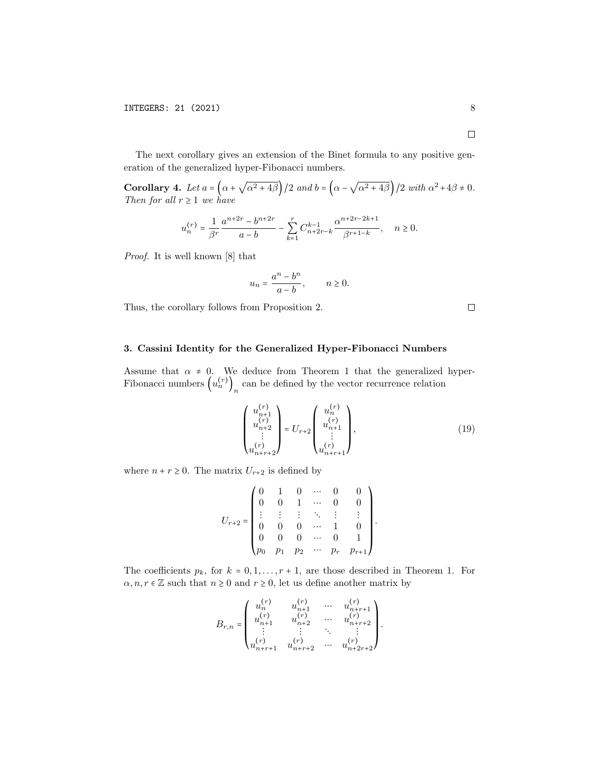The next corollary gives an extension of the Binet formula to any positive generation of the generalized hyper-Fibonacci numbers.

Corollary 4. Let  $a = \alpha +$  $\sqrt{\alpha^2 + 4\beta}$  /2 and  $b = (\alpha - \sqrt{\alpha^2 + 4\beta})$  /2 with  $\alpha^2 + 4\beta \neq 0$ . Then for all  $r \geq 1$  we have

$$
u_n^{(r)} = \frac{1}{\beta^r} \frac{a^{n+2r} - b^{n+2r}}{a-b} - \sum_{k=1}^r C_{n+2r-k}^{k-1} \frac{\alpha^{n+2r-2k+1}}{\beta^{r+1-k}}, \quad n \ge 0.
$$

Proof. It is well known [8] that

$$
u_n = \frac{a^n - b^n}{a - b}, \qquad n \ge 0.
$$

Thus, the corollary follows from Proposition 2.

 $\Box$ 

## 3. Cassini Identity for the Generalized Hyper-Fibonacci Numbers

Assume that  $\alpha \neq 0$ . We deduce from Theorem 1 that the generalized hyper-Fibonacci numbers  $(u_n^{(r)})_n$  can be defined by the vector recurrence relation

$$
\begin{pmatrix} u_{n+1}^{(r)} \\ u_{n+2}^{(r)} \\ \vdots \\ u_{n+r+2}^{(r)} \end{pmatrix} = U_{r+2} \begin{pmatrix} u_n^{(r)} \\ u_{n+1}^{(r)} \\ \vdots \\ u_{n+r+1}^{(r)} \end{pmatrix},
$$
(19)

where  $n + r \geq 0$ . The matrix  $U_{r+2}$  is defined by

$$
U_{r+2} = \begin{pmatrix} 0 & 1 & 0 & \cdots & 0 & 0 \\ 0 & 0 & 1 & \cdots & 0 & 0 \\ \vdots & \vdots & \vdots & \ddots & \vdots & \vdots \\ 0 & 0 & 0 & \cdots & 1 & 0 \\ 0 & 0 & 0 & \cdots & 0 & 1 \\ p_0 & p_1 & p_2 & \cdots & p_r & p_{r+1} \end{pmatrix}.
$$

The coefficients  $p_k$ , for  $k = 0, 1, \ldots, r + 1$ , are those described in Theorem 1. For  $\alpha, n, r \in \mathbb{Z}$  such that  $n \geq 0$  and  $r \geq 0$ , let us define another matrix by

$$
B_{r,n} = \begin{pmatrix} u_n^{(r)} & u_{n+1}^{(r)} & \cdots & u_{n+r+1}^{(r)} \\ u_{n+1}^{(r)} & u_{n+2}^{(r)} & \cdots & u_{n+r+2}^{(r)} \\ \vdots & \vdots & \ddots & \vdots \\ u_{n+r+1}^{(r)} & u_{n+r+2}^{(r)} & \cdots & u_{n+2r+2}^{(r)} \end{pmatrix}.
$$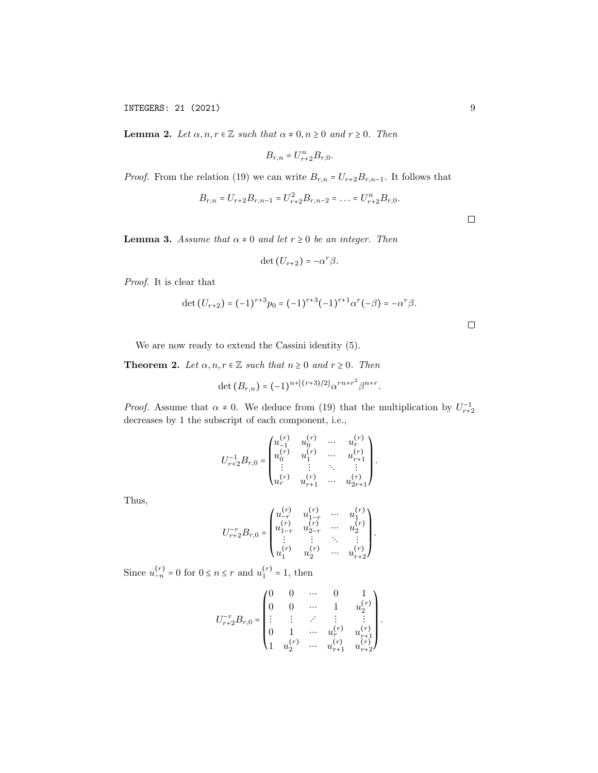**Lemma 2.** Let  $\alpha, n, r \in \mathbb{Z}$  such that  $\alpha \neq 0, n \geq 0$  and  $r \geq 0$ . Then

$$
B_{r,n} = U_{r+2}^n B_{r,0}.
$$

*Proof.* From the relation (19) we can write  $B_{r,n} = U_{r+2}B_{r,n-1}$ . It follows that

$$
B_{r,n} = U_{r+2}B_{r,n-1} = U_{r+2}^2B_{r,n-2} = \dots = U_{r+2}^nB_{r,0}.
$$

 $\Box$ 

 $\Box$ 

**Lemma 3.** Assume that  $\alpha \neq 0$  and let  $r \geq 0$  be an integer. Then

$$
\det(U_{r+2})=-\alpha^r\beta.
$$

Proof. It is clear that

$$
\det (U_{r+2}) = (-1)^{r+3} p_0 = (-1)^{r+3} (-1)^{r+1} \alpha^r (-\beta) = -\alpha^r \beta.
$$

We are now ready to extend the Cassini identity (5).

**Theorem 2.** Let  $\alpha, n, r \in \mathbb{Z}$  such that  $n \geq 0$  and  $r \geq 0$ . Then

$$
\det (B_{r,n}) = (-1)^{n + \lfloor (r+3)/2 \rfloor} \alpha^{rn + r^2} \beta^{n+r}.
$$

*Proof.* Assume that  $\alpha \neq 0$ . We deduce from (19) that the multiplication by  $U_{r+2}^{-1}$ decreases by 1 the subscript of each component, i.e.,

$$
U_{r+2}^{-1}B_{r,0} = \begin{pmatrix} u_{-1}^{(r)} & u_0^{(r)} & \cdots & u_r^{(r)} \\ u_0^{(r)} & u_1^{(r)} & \cdots & u_{r+1}^{(r)} \\ \vdots & \vdots & \ddots & \vdots \\ u_r^{(r)} & u_{r+1}^{(r)} & \cdots & u_{2r+1}^{(r)} \end{pmatrix}.
$$

Thus,

$$
U_{r+2}^{-r}B_{r,0} = \begin{pmatrix} u_{-r}^{(r)} & u_{1-r}^{(r)} & \cdots & u_1^{(r)} \\ u_{1-r}^{(r)} & u_{2-r}^{(r)} & \cdots & u_2^{(r)} \\ \vdots & \vdots & \ddots & \vdots \\ u_1^{(r)} & u_2^{(r)} & \cdots & u_{r+2}^{(r)} \end{pmatrix}.
$$

Since  $u_{-n}^{(r)} = 0$  for  $0 \le n \le r$  and  $u_1^{(r)}$  $1^{(r)} = 1$ , then

$$
U_{r+2}^{-r}B_{r,0}=\begin{pmatrix} 0 & 0 & \cdots & 0 & 1 \\ 0 & 0 & \cdots & 1 & u_2^{(r)} \\ \vdots & \vdots & \ddots & \vdots & \vdots \\ 0 & 1 & \cdots & u_r^{(r)} & u_{r+1}^{(r)} \\ 1 & u_2^{(r)} & \cdots & u_{r+1}^{(r)} & u_{r+2}^{(r)} \end{pmatrix}.
$$